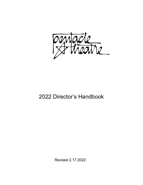

# 2022 Director's Handbook

Revised 2.17.2022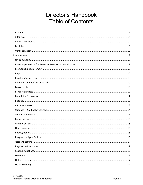# **Director's Handbook Table of Contents**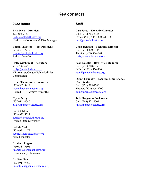## **Key contacts**

#### <span id="page-5-1"></span><span id="page-5-0"></span>**2022 Board**

**Erik Davis – President** 503-508-2781 [Erik@pentacletheatre.org](mailto:Erik@pentacletheatre.org) Healthcare Consultant & Risk Manager

**Emma Thurston – Vice President** (503) 507-7747 [emma@pentacletheatre.org](mailto:emma@pentacletheatre.org) Aldrich Benefits

**Holly Giesbrecht – Secretary** 971-599-8499 [holly@pentacletheatre.org](mailto:holly@pentacletheatre.org) HR Analyst, Oregon Public Utilities Commission

**Bruce Thompson – Treasurer** (503) 302-9419 [bruce@pentacletheatre.org](mailto:bruce@pentacletheatre.org) Retired – US Armey Officer (LTC)

**Clyde Berry** (757) 641-0740 [clyde@pentacletheatre.org](mailto:clyde@pentacletheatre.org)

**Patrick Mose**r (503) 932-5223 [patrick@pentacletheatre.org](mailto:patrick@pentacletheatre.org) Oregon State University

**Debbie Neel** (503) 991-1479 [debbie@pentacletheatre.org](mailto:debbie@pentacletheatre.org) retired educator

**Lizabeth Rogers** (310) 387-5606 [lizabeth@pentacletheatre.org](mailto:lizabeth@pentacletheatre.org) Documentary filmmaker

**Liz Santillan** (503) 917-9460 [lizsantillan@pentacletheatre.org](mailto:lizsantillan@pentacletheatre.org)

#### **Staff**

**Lisa Joyce – Executive Director** Cell: (971) 718-6758 Office: (503) 485-4300 ext. 108 [lisa@pentacletheatre.org](mailto:lisa@pentacletheatre.org)

**Chris Benham – Technical Director** Cell: (971) 370-0144 Theater: (503) 364-7200 [chris@pentacletheatre.org](mailto:chris@pentacletheatre.org)

**Sean Needles – Box Office Manager** Cell: (971) 718-6759 Office: (503) 485-4300 [sean@pentacletheatre.org](mailto:sean@pentacletheatre.org)

**Quinn Connolly – Facilities Maintenance Coordinator** Cell: (971) 718-1766 Theater: (503) 364-7200 [quinn@pentacletheatre.org](mailto:quinn@pentacletheatre.org)

**Julia Sargent – Bookkeeper** Cell: (503) 522.4004 [julia@pentacletheatre.org](mailto:julia@pentacletheatre.org)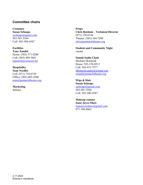#### <span id="page-6-0"></span>**Committee chairs**

**Costumes Susan Schoaps** [sschoaps@gmail.com](mailto:sschoaps@gmail.com) 503-581-3544 Cell: 503-580-4587

**Facilities Tony Zandol** Home: (503) 371-8280 Cell: (503) 409-3041 [tzpentch@comcast.net](mailto:tzpentch@comcast.net)

**Hospitality Sean Needles** Cell: (971) 718-6759 Office: (503) 485-4300 [sean@pentacletheatre.org](mailto:sean@pentacletheatre.org)

**Marketing** defunct

**Props Chris Benham – Technical Director** (971) 370-0144 Theater: (503) 364-7200 [chris@pentacletheatre.org](mailto:chris@pentacletheatre.org)

**Student and Community Night** vacant

**Sound/Audio Chair** Michael McIntosh Home: 503-370-8913 Cell: 503-931-7577 [Mcintosh.audio@icloud.com](mailto:Mcintosh.audio@icloud.com) [sound@pentacletheatre.org](mailto:sound@pentacletheatre.org)

**Wigs & Hair Susan Schoaps** [sschoaps@gmail.com](mailto:sschoaps@gmail.com) 503-581-3544 Cell: 503-580-4587

**Makeup contact Isaac Joyce-Shaw** [isaacjoyceshaw@gmail.com](mailto:isaacjoyceshaw@gmail.com) 971-304-8862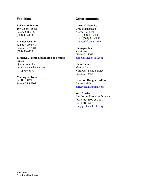#### <span id="page-7-0"></span>**Facilities**

#### **Rehearsal Facility**

197 Liberty St SE Salem, OR 97301 (503) 485-4300

#### **Theater location**

324 52nd Ave NW Salem OR 97304 (503) 364-7200

**Electrical, lighting, plumbing or heating issues** Quinn Connolly [quinn@pentacletheatre.org](mailto:quinn@pentacletheatre.org) (971) 716-5079

#### **Mailing Address**

PO Box 8271 Salem OR 97303

### <span id="page-7-1"></span>**Other contacts**

#### **Alarm & Security**

Greg Blankenship Alarm NW Tech Cell: (503) 871-0830 Land: (503) 361-0830 [Antwest2@gmail.com](mailto:Antwest2@gmail.com)

#### **Photographer**

Vicki Woods (714) 402-4569 [zombies.vicki@aol.com](mailto:zombies.vicki@aol.com)

#### **Piano Tuner**

Matt or Chris Northwest Piano Service (503) 371-8863

**Program Designer/Editor** Carlee Wright [carleewright@gmail.com](mailto:carleewright@gmail.com)

**Web Master** Lisa Joyce, Executive Director (503) 485-4300 ext. 108 (971) 718-6758 [lisa@pentacletheatre.org](mailto:lisa@pentacletheatre.org)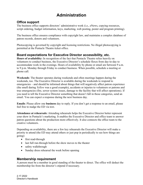## **Administration**

### <span id="page-8-1"></span><span id="page-8-0"></span>**Office support**

The business office supports directors' administrative work (i.e., eNews, copying resources, script ordering, budget information, keys, marketing, web posting, poster and program printing).

The business office ensures compliance with copyright law, and maintains a complex database of patron records, donors and volunteers.

Photocopying is governed by copyright and licensing restrictions. No illegal photocopying is permitted at the Pentacle Theatre ticket office.

## <span id="page-8-2"></span>**Board expectations for Executive Director accessibility, etc.**

**Hours of availability:** In recognition of the fact that Pentacle Theatre relies heavily on volunteers to conduct business, the Executive Director's schedule flexes from day-to-day to accommodate work in the evenings. Hours of availability by phone or email are between 9 a.m. to 9 p.m. Monday through Friday to conduct business. When possible, schedule a meeting or phone call.

**Weekends**: The theater operates during weekends and often meetings happen during the weekends, too. The Executive Director is available during the weekends to respond to emergencies – and should be informed about things that will negatively affect patron experience (the smell during *Yellow* was a good example), accidents or injuries to volunteers or patrons and true emergencies (fire, sewer system issues, damage to the facility that will affect operations). If you need to tell the Executive Director something that doesn't fall in those categories, send an email. You can expect a response during the next business day.

**Emails**: Please allow one **business** day to reply. If you don't get a response to an email, please feel free to nudge the ED via text.

**Attendance at rehearsals:** Attending rehearsals helps the Executive Director better represent your show in Pentacle's marketing. It enables the Executive Director and office team to answer patron questions about the production more effectively. It also connects the office team to the creative volunteers.

Depending on availability, there are a few key rehearsals the Executive Director will make a priority to attend (the ED may attend others or just pop in periodically to see how things are going):

- first read-through
- last full run-through before the show moves to the theater
- safety walkthrough
- Sunday dress rehearsal the week before opening

### <span id="page-8-3"></span>**Membership requirement**

A person must be a member in good standing of the theater to direct. The office will deduct the membership fee from the director's stipend if necessary.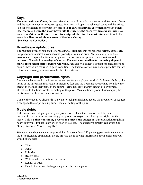## <span id="page-9-0"></span>**Keys**

*The week before auditions*, the executive director will provide the director with two sets of keys and the security code for rehearsal space. Each key will open the rehearsal space and the office. **(Be sure to assign one of your key sets to your earliest arriving crewmember to let others in). One week before the show moves into the theater, the executive director will issue (a) master key(s) to the theater. To receive a stipend, the director must return all keys to the executive director within one week of the show closing. (See Theatre Key Policy.)**

#### <span id="page-9-1"></span>**Royalties/scripts/scores**

The business office is responsible for making all arrangements for ordering scripts, scores, etc. Scripts for non-musical shows become property of cast and crew. *For musical productions*, *directors* are responsible for returning rented or borrowed scripts and orchestrations to the business office within three days of closing. **The cast is responsible for removing all pencil marks from rental scripts before returning.** Pentacle will collect a deposit for each libretto to ensure librettos are returned in good condition. The business office may deduct penalties for late returns and missing librettos from the director's stipend.

### <span id="page-9-2"></span>**Copyright and performance rights**

Review the language in the licensing agreement for your play or musical. Failure to abide by the terms of the agreement may result in increased fees and the licensing agency may not allow the theater to produce their plays in the future. Terms typically address gender of performers, alterations to the time, locales or setting of the plays. Most contracts prohibit videotaping the performance without written permission.

Contact the executive director if you want to seek permission to record the production or request a change to the script, casting, time, locale or setting of the play.

### <span id="page-9-3"></span>**Music rights**

If the music is an integral part of your production—characters mention the title, dance to a portion of it or music is underscoring your production—you must have grand rights for the music. This is a **time-consuming process and affects the budget** of your production (requiring board approval). Initiate this work as soon as you can. The executive director can assist. See "Using Recorded Music—Legally."

We use a licensing agency to acquire rights. Budget at least \$70 per song per performance plus the \$179 licensing application. Please provide the following information about each song you would like to use:

- Title
- Artist
- Publisher
- Record label
- Website where you found the music
- Length of track
- Detail of what will be happening while the music plays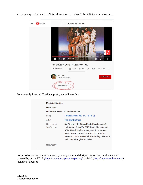

An easy way to find much of this information is via YouTube. Click on the show more

For correctly licensed YouTube posts, you will see this:

| Learn more                |                                                                                                                                                                                                                                                                           |
|---------------------------|---------------------------------------------------------------------------------------------------------------------------------------------------------------------------------------------------------------------------------------------------------------------------|
|                           |                                                                                                                                                                                                                                                                           |
|                           | Listen ad-free with YouTube Premium                                                                                                                                                                                                                                       |
| Song                      | For the Love of You (Pt. 1 & Pt. 2)                                                                                                                                                                                                                                       |
| Artist                    | The Isley Brothers                                                                                                                                                                                                                                                        |
| Licensed to<br>YouTube by | SME (on behalf of Sony Music Entertainment);<br>LatinAutor - SonyATV, BMG Rights Management,<br>SOLAR Music Rights Management, LatinAutor -<br>UMPG, UNIAO BRASILEIRA DE EDITORAS DE<br>MUSICA - UBEM, EMI Music Publishing, LatinAutor,<br>and 12 Music Rights Societies |
| <b>SHOW LESS</b>          |                                                                                                                                                                                                                                                                           |

For pre-show or intermission music, you or your sound designer must confirm that they are covered by our ASCAP [\(https://www.ascap.com/repertory\)](https://www.ascap.com/repertory) or BMI [\(http://repertoire.bmi.com/\)](http://repertoire.bmi.com/) "jukebox" licenses.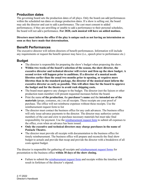## <span id="page-11-0"></span>**Production dates**

The governing board sets the production dates of all plays. Only the board can add performances within the scheduled run dates or change production dates. If a show is selling out, the board may ask the director and cast to add a performance. The cast must consent to added performances; if they are unwilling or unable to add a performance to their personal schedules, the board will not add a performance. **For 2020, each musical will have an added matinee.**

#### **Directors must inform the office if the play is unique such as not having an intermission as soon as they have made that determination.**

#### <span id="page-11-1"></span>**Benefit Performances**

The executive director will inform directors of benefit performances. Information will include any requirements or request the benefit sponsor may have (i.e., speech prior to performance etc.)

### <span id="page-11-2"></span>**Budget**

- The director is responsible for preparing the show's budget when proposing the show.
- **Within two weeks of the board's selection of the season, the show director, the executive director and technical director will review and firm up the show budget. A second review will happen prior to auditions. If a director of a musical needs librettos earlier than the usual two months prior to opening, or requires more librettos than in the standard package, the director of the musical must inform the executive director as early as possible. This will allow time for the board to approve the budget and for the theater to avoid rush shipping costs.**
- The board must approve any changes to the budget. The director (not the liaison or other production team member) will present requested increases before the board.
- Print the name **of the production**, the **purchaser's name** and the **intended use of the materials** (props, costumes, etc.) on all receipts. These receipts are your proof of purchase. The office will not reimburse expenses without these receipts. Use the reimbursement request form to list
- The director must contact the business office for any cash advances. The business office will only issue advance payments to the director. The director may authorize certain members of the cast and crew to purchase necessary materials but must take final responsibility for payment. Use the [reimbursement request form](https://pentacletheatre.org/wp-content/uploads/2017/11/Reimbursement-request.xlsx) to submit all expenses to the office, even when an advance has been issued.
- **Only the executive and technical directors may charge purchases in the name of Pentacle Theatre.**
- The director must provide all receipts with documentation to the business office for timely reimbursement. The business office will prepare and reconcile the final show budget to actuals and provide that recap and provide the director with a breakdown of all costs against budget.

The director is responsible for gathering all receipts and [reimbursement request forms](https://pentacletheatre.org/wp-content/uploads/2017/11/Reimbursement-request.xlsx) for presentation to the business office **within 30 days of the show closing.**

• Failure to submit the [reimbursement request form](https://pentacletheatre.org/wp-content/uploads/2017/11/Reimbursement-request.xlsx) and receipts within the timeline will result in forfeiture of the director's stipend.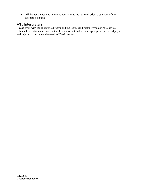• All theater-owned costumes and rentals must be returned prior to payment of the director's stipend.

#### <span id="page-12-0"></span>**ASL Interpreters**

Please work with the executive director and the technical director if you desire to have a rehearsal or performance interpreted. It is important that we plan appropriately for budget, set and lighting to best meet the needs of Deaf patrons.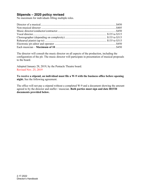## <span id="page-13-0"></span>**Stipends – 2020 policy revised**

No maximum for individuals filling multiple roles.

The director will consult the music director on all aspects of the production, including the configuration of the pit. The music director will participate in presentation of musical proposals to the board.

Adopted January 28, 2019, by the Pentacle Theatre board. Revised Nov. 25, 2019

**To receive a stipend, an individual must file a W-9 with the business office before opening night.** See the following agreement.

The office will not pay a stipend without a completed W-9 and a document showing the amount agreed to by the director and staffer / musician. **Both parties must sign and date BOTH documents provided below.**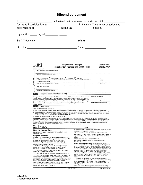## **Stipend agreement**

<span id="page-14-0"></span>

|  |                               |                                                                                                                                                                                                                                                                                                                                                                                                                                                                                                             | Signed this $\_\_\_$ day of $\_\_\_\_\_\_\$ .                                                                                                                                                                                                                                                                                                                                                                                                  |                                                                                                                                                                                                                                                                                                                                         |        |                                         |                                                                   |  |
|--|-------------------------------|-------------------------------------------------------------------------------------------------------------------------------------------------------------------------------------------------------------------------------------------------------------------------------------------------------------------------------------------------------------------------------------------------------------------------------------------------------------------------------------------------------------|------------------------------------------------------------------------------------------------------------------------------------------------------------------------------------------------------------------------------------------------------------------------------------------------------------------------------------------------------------------------------------------------------------------------------------------------|-----------------------------------------------------------------------------------------------------------------------------------------------------------------------------------------------------------------------------------------------------------------------------------------------------------------------------------------|--------|-----------------------------------------|-------------------------------------------------------------------|--|
|  |                               |                                                                                                                                                                                                                                                                                                                                                                                                                                                                                                             |                                                                                                                                                                                                                                                                                                                                                                                                                                                |                                                                                                                                                                                                                                                                                                                                         |        |                                         | $\frac{(\text{date}) \qquad \qquad }{\qquad \qquad }$             |  |
|  |                               |                                                                                                                                                                                                                                                                                                                                                                                                                                                                                                             |                                                                                                                                                                                                                                                                                                                                                                                                                                                |                                                                                                                                                                                                                                                                                                                                         |        |                                         | $\qquad \qquad \mbox{(date)} \qquad \qquad \qquad$                |  |
|  |                               |                                                                                                                                                                                                                                                                                                                                                                                                                                                                                                             |                                                                                                                                                                                                                                                                                                                                                                                                                                                |                                                                                                                                                                                                                                                                                                                                         |        |                                         |                                                                   |  |
|  | Form                          |                                                                                                                                                                                                                                                                                                                                                                                                                                                                                                             | <b>Request for Taxpayer</b>                                                                                                                                                                                                                                                                                                                                                                                                                    |                                                                                                                                                                                                                                                                                                                                         |        |                                         | Give form to the<br>requester. Do not                             |  |
|  |                               | (Rev. October 2007)<br>Department of the Treasury<br>Internal Revenue Service                                                                                                                                                                                                                                                                                                                                                                                                                               | <b>Identification Number and Certification</b>                                                                                                                                                                                                                                                                                                                                                                                                 |                                                                                                                                                                                                                                                                                                                                         |        |                                         | send to the IRS.                                                  |  |
|  | N                             |                                                                                                                                                                                                                                                                                                                                                                                                                                                                                                             | Name (as shown on your income tax return)                                                                                                                                                                                                                                                                                                                                                                                                      |                                                                                                                                                                                                                                                                                                                                         |        |                                         |                                                                   |  |
|  | page<br>$\overline{5}$        |                                                                                                                                                                                                                                                                                                                                                                                                                                                                                                             | Business name, if different from above                                                                                                                                                                                                                                                                                                                                                                                                         |                                                                                                                                                                                                                                                                                                                                         |        |                                         |                                                                   |  |
|  | Print or type<br>Instructions | Other (see instructions)                                                                                                                                                                                                                                                                                                                                                                                                                                                                                    | Check appropriate box:   Individual/Sole proprietor   Corporation   Partnership<br>□ Limited liability company. Enter the tax classification (D=disregarded entity, C=corporation, P=partnership) ▶                                                                                                                                                                                                                                            |                                                                                                                                                                                                                                                                                                                                         |        |                                         | $\Box$ Exempt                                                     |  |
|  |                               |                                                                                                                                                                                                                                                                                                                                                                                                                                                                                                             | Address (number, street, and apt. or suite no.)                                                                                                                                                                                                                                                                                                                                                                                                |                                                                                                                                                                                                                                                                                                                                         |        | Requester's name and address (optional) |                                                                   |  |
|  | Specific                      | City, state, and ZIP code                                                                                                                                                                                                                                                                                                                                                                                                                                                                                   |                                                                                                                                                                                                                                                                                                                                                                                                                                                |                                                                                                                                                                                                                                                                                                                                         |        |                                         |                                                                   |  |
|  | See                           |                                                                                                                                                                                                                                                                                                                                                                                                                                                                                                             | List account number(s) here (optional)                                                                                                                                                                                                                                                                                                                                                                                                         |                                                                                                                                                                                                                                                                                                                                         |        |                                         |                                                                   |  |
|  | Part I                        |                                                                                                                                                                                                                                                                                                                                                                                                                                                                                                             | <b>Taxpayer Identification Number (TIN)</b>                                                                                                                                                                                                                                                                                                                                                                                                    |                                                                                                                                                                                                                                                                                                                                         |        |                                         |                                                                   |  |
|  |                               | Social security number<br>Enter your TIN in the appropriate box. The TIN provided must match the name given on Line 1 to avoid<br>backup withholding. For individuals, this is your social security number (SSN). However, for a resident                                                                                                                                                                                                                                                                   |                                                                                                                                                                                                                                                                                                                                                                                                                                                |                                                                                                                                                                                                                                                                                                                                         |        |                                         |                                                                   |  |
|  |                               | alien, sole proprietor, or disregarded entity, see the Part I instructions on page 3. For other entities, it is<br>or<br>your employer identification number (EIN). If you do not have a number, see How to get a TIN on page 3.                                                                                                                                                                                                                                                                            |                                                                                                                                                                                                                                                                                                                                                                                                                                                |                                                                                                                                                                                                                                                                                                                                         |        |                                         |                                                                   |  |
|  |                               | <b>Employer identification number</b><br>Note. If the account is in more than one name, see the chart on page 4 for guidelines on whose<br>number to enter.                                                                                                                                                                                                                                                                                                                                                 |                                                                                                                                                                                                                                                                                                                                                                                                                                                |                                                                                                                                                                                                                                                                                                                                         |        |                                         |                                                                   |  |
|  |                               | <b>Part II</b> Certification                                                                                                                                                                                                                                                                                                                                                                                                                                                                                |                                                                                                                                                                                                                                                                                                                                                                                                                                                |                                                                                                                                                                                                                                                                                                                                         |        |                                         |                                                                   |  |
|  |                               |                                                                                                                                                                                                                                                                                                                                                                                                                                                                                                             | Under penalties of perjury, I certify that:                                                                                                                                                                                                                                                                                                                                                                                                    |                                                                                                                                                                                                                                                                                                                                         |        |                                         |                                                                   |  |
|  |                               | 1. The number shown on this form is my correct taxpayer identification number (or I am waiting for a number to be issued to me), and<br>2. I am not subject to backup withholding because: (a) I am exempt from backup withholding, or (b) I have not been notified by the Internal<br>Revenue Service (IRS) that I am subject to backup withholding as a result of a failure to report all interest or dividends, or (c) the IRS has<br>notified me that I am no longer subject to backup withholding, and |                                                                                                                                                                                                                                                                                                                                                                                                                                                |                                                                                                                                                                                                                                                                                                                                         |        |                                         |                                                                   |  |
|  |                               |                                                                                                                                                                                                                                                                                                                                                                                                                                                                                                             | 3. I am a U.S. citizen or other U.S. person (defined below).<br>Certification instructions. You must cross out item 2 above if you have been notified by the IRS that you are currently subject to backup                                                                                                                                                                                                                                      |                                                                                                                                                                                                                                                                                                                                         |        |                                         |                                                                   |  |
|  |                               |                                                                                                                                                                                                                                                                                                                                                                                                                                                                                                             | withholding because you have failed to report all interest and dividends on your tax return. For real estate transactions, item 2 does not apply.<br>For mortgage interest paid, acquisition or abandonment of secured property, cancellation of debt, contributions to an individual retirement<br>arrangement (IRA), and generally, payments other than interest and dividends, you are not required to sign the Certification, but you must |                                                                                                                                                                                                                                                                                                                                         |        |                                         |                                                                   |  |
|  | Sign<br>Here                  | Signature of<br>U.S. person $\blacktriangleright$                                                                                                                                                                                                                                                                                                                                                                                                                                                           | provide your correct TIN. See the instructions on page 4                                                                                                                                                                                                                                                                                                                                                                                       |                                                                                                                                                                                                                                                                                                                                         | Date P |                                         |                                                                   |  |
|  |                               | <b>General Instructions</b>                                                                                                                                                                                                                                                                                                                                                                                                                                                                                 |                                                                                                                                                                                                                                                                                                                                                                                                                                                | considered a U.S. person if you are:                                                                                                                                                                                                                                                                                                    |        |                                         | Definition of a U.S. person. For federal tax purposes, you are    |  |
|  |                               | otherwise noted.                                                                                                                                                                                                                                                                                                                                                                                                                                                                                            | Section references are to the Internal Revenue Code unless                                                                                                                                                                                                                                                                                                                                                                                     | . An individual who is a U.S. citizen or U.S. resident alien,                                                                                                                                                                                                                                                                           |        |                                         | • A partnership, corporation, company, or association created or  |  |
|  |                               | <b>Purpose of Form</b>                                                                                                                                                                                                                                                                                                                                                                                                                                                                                      |                                                                                                                                                                                                                                                                                                                                                                                                                                                |                                                                                                                                                                                                                                                                                                                                         |        |                                         | organized in the United States or under the laws of the United    |  |
|  |                               | States,<br>A person who is required to file an information return with the<br>• An estate (other than a foreign estate), or<br>IRS must obtain your correct taxpayer identification number (TIN)<br>to report, for example, income paid to you, real estate                                                                                                                                                                                                                                                 |                                                                                                                                                                                                                                                                                                                                                                                                                                                |                                                                                                                                                                                                                                                                                                                                         |        |                                         |                                                                   |  |
|  |                               | transactions, mortgage interest you paid, acquisition or<br>abandonment of secured property, cancellation of debt, or                                                                                                                                                                                                                                                                                                                                                                                       | 301.7701-7).                                                                                                                                                                                                                                                                                                                                                                                                                                   | • A domestic trust (as defined in Regulations section                                                                                                                                                                                                                                                                                   |        |                                         |                                                                   |  |
|  |                               | contributions you made to an IRA.                                                                                                                                                                                                                                                                                                                                                                                                                                                                           | Use Form W-9 only if you are a U.S. person (including a                                                                                                                                                                                                                                                                                                                                                                                        | Special rules for partnerships. Partnerships that conduct a<br>trade or business in the United States are generally required to<br>pay a withholding tax on any foreign partners' share of income<br>from such business. Further, in certain cases where a Form W-9<br>has not been received, a partnership is required to presume that |        |                                         |                                                                   |  |
|  |                               |                                                                                                                                                                                                                                                                                                                                                                                                                                                                                                             | resident alien), to provide your correct TIN to the person<br>requesting it (the requester) and, when applicable, to:                                                                                                                                                                                                                                                                                                                          |                                                                                                                                                                                                                                                                                                                                         |        |                                         |                                                                   |  |
|  |                               | a partner is a foreign person, and pay the withholding tax.<br>1. Certify that the TIN you are giving is correct (or you are<br>Therefore, if you are a U.S. person that is a partner in a<br>waiting for a number to be issued),                                                                                                                                                                                                                                                                           |                                                                                                                                                                                                                                                                                                                                                                                                                                                |                                                                                                                                                                                                                                                                                                                                         |        |                                         |                                                                   |  |
|  |                               | partnership conducting a trade or business in the United States,<br>2. Certify that you are not subject to backup withholding, or<br>provide Form W-9 to the partnership to establish your U.S.<br>3. Claim exemption from backup withholding if you are a U.S.<br>status and avoid withholding on your share of partnership                                                                                                                                                                                |                                                                                                                                                                                                                                                                                                                                                                                                                                                |                                                                                                                                                                                                                                                                                                                                         |        |                                         |                                                                   |  |
|  |                               |                                                                                                                                                                                                                                                                                                                                                                                                                                                                                                             | exempt payee. If applicable, you are also certifying that as a<br>U.S. person, your allocable share of any partnership income from                                                                                                                                                                                                                                                                                                             | income.                                                                                                                                                                                                                                                                                                                                 |        |                                         |                                                                   |  |
|  |                               |                                                                                                                                                                                                                                                                                                                                                                                                                                                                                                             | a U.S. trade or business is not subject to the withholding tax on<br>foreign partners' share of effectively connected income.<br>Note. If a requester gives you a form other than Form W-9 to                                                                                                                                                                                                                                                  | The person who gives Form W-9 to the partnership for<br>on its allocable share of net income from the partnership<br>conducting a trade or business in the United States is in the                                                                                                                                                      |        |                                         | purposes of establishing its U.S. status and avoiding withholding |  |
|  |                               |                                                                                                                                                                                                                                                                                                                                                                                                                                                                                                             | request your TIN, you must use the requester's form if it is<br>substantially similar to this Form W-9.                                                                                                                                                                                                                                                                                                                                        | following cases:<br>• The U.S. owner of a disregarded entity and not the entity,                                                                                                                                                                                                                                                        |        |                                         |                                                                   |  |
|  |                               |                                                                                                                                                                                                                                                                                                                                                                                                                                                                                                             |                                                                                                                                                                                                                                                                                                                                                                                                                                                |                                                                                                                                                                                                                                                                                                                                         |        |                                         |                                                                   |  |

Form W-9 (Rev. 10-2007)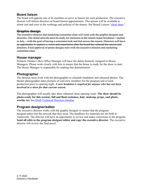## <span id="page-15-0"></span>**Board liaison**

The board will appoint one of its members to serve as liaison for each production. The executive director will inform directors of board liaison appointments. This person will be available to orient cast and crew to the workings and policies of the theater. See Board Liaison ["cheat sheet.](https://pentacletheatre.org/wp-content/uploads/2022/01/BoardLiaison-CheatSheet-7.20.21.pdf)"

#### <span id="page-15-1"></span>**Graphic design**

The executive director and marketing committee chair will work with the graphic designer and directors. The initial artwork must be ready for inclusion in the season ticket brochures—mailedin July—with the goal of having a consistent look and feel across the season. Directors will have an opportunity to express a vision and expectation after the board has selected the season and directors. Final approval of poster designs rests with the executive director and marketing committee chair.

#### <span id="page-15-2"></span>**House manager**

Pentacle Theatre's Box Office Manager will have the duties formerly assigned to House Managers. Please work closely with him to ensure that the house is ready for the show to start. The House Manager is responsible for making that determination.

### <span id="page-15-3"></span>**Photographer**

The director must work with the photographer to schedule headshots and rehearsal photos. The theater photographer takes pictures of cast/crew members for the program and of each production prior to opening night. *A new headshot is required for anyone who has not been involved in a show for that current season.*

The photographer will usually take dress rehearsal shots opening week. **The show should be photo-ready for this session: full and final costumes, hair, makeup, props, and photoworthy set.** See [Draft Technical Directors timeline.](https://pentacletheatre.org/wp-content/uploads/2018/10/Draft-Technical-Director-timeline)

### <span id="page-15-4"></span>**Program designer/editor**

The executive director works with the graphic designer to ensure that the program designer/editor has the artwork that they need. The deadlines for materials are set forth in Teamwork. The director will have an opportunity to review and make corrections to the program. **Send all edits to the program designer/editor and copy the executive director.** The executive director will review the final proof.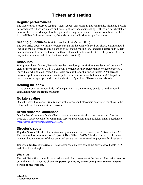## **Tickets and seating**

#### <span id="page-16-1"></span><span id="page-16-0"></span>**Regular performances**

The theater uses a reserved seating system (except on student night, community night and benefit performances). There are spaces on house right for wheelchair seating. If there are no wheelchair patrons, the House Manager has the option of selling those seats. To ensure compliance with Fire Marshall Regulations, no seats may be added to the auditorium for performances.

#### <span id="page-16-2"></span>**Seating guidelines** (for tickets sold at theater's box office)

The box office opens 45 minutes before curtain. In the event of a sold-out show, patrons should line up at the box office to buy tickets or to get on the waiting list. Pentacle Theatre sells tickets on a first come, first served basis. The theater does not build a wait list over the phone. Directors may not hold seats (aside from the three in their control).

#### <span id="page-16-3"></span>**Discounts**

With proper identification, Pentacle members, seniors **(62 and older)**, students and groups of eight or more may receive a \$1.50 discount per ticket for **any performance** (except benefits). Individuals who hold an Oregon Trail Card are eligible for half price tickets. A 50 percent discount applies to student rush tickets (sold 15 minutes or fewer before curtain). The patron must request the appropriate discount at the time of purchase. **There are no refunds.**

#### <span id="page-16-4"></span>**Holding the show**

In the event of a last-minute influx of late patrons, the director may decide to hold a show in consultation with the House Manager.

#### <span id="page-16-5"></span>**No late seating**

Once the show has started, **no one** may seat latecomers. Latecomers can watch the show in the lobby and take their seats at intermission.

#### <span id="page-16-6"></span>**Dress rehearsal audiences**

Our Student/Community Night Chair arranges audiences for final dress rehearsals. See the Pentacle Theatre website for community service and student night policies. Email questions to [freedressrehearsals@pentacletheatre.org.](mailto:freedressrehearsals@pentacletheatre.org)

#### <span id="page-16-7"></span>**Director's seats**

**Regular Shows:** The director has two complimentary reserved seats. (Sec A Row 5 Seats 6/7). The director has *three seats to sell.* **(Sec A Row 5 Seats 3/4/5).** The director will let the house manager know the status of those seats and ensure the theater receives payment for those seats.

**Benefits and dress rehearsals:** The director has only two complimentary reserved seats (A, 5, 6 and 7) on benefit nights.

#### <span id="page-16-8"></span>**Wait list**

The wait list is first-come, first-served and only for patrons are at the theater. The office does not build the wait list over the phone. **No person (including the director) may place an absent person on the wait list.**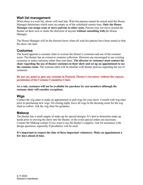#### <span id="page-17-0"></span>**Wait list management**

When there is a wait list, shows will start late. Wait-list patrons cannot be seated until the House Manager determines which seats are empty as of the scheduled curtain time. **Only the House Manager can assign seats or move patrons to other seats.** Patrons may not move around the theater on their own or under the direction of anyone **without consulting with** the House Manager.

The House Manager will let the director know when all wait-list patrons have been seated so that the show can start.

#### <span id="page-17-1"></span>**Costumes**

The board appoints a costume chair to oversee the theater's costumes and use of the costume room. The theater has an extensive costume collection. Directors are encouraged to use existing costumes or make costumes rather than rent them. **The director or costumer must contact the chair regarding the use of theater costumes in their show and set up an appointment to see the costume room.** The costume chair will be familiar with theater policies regarding the use of costumes.

**Do not cut, paint or glue any costume in Pentacle Theatre's inventory without the express permission of the Costume Committee Chair.**

**As a rule, costumes will not be available for purchase by cast members although the costume chair will consider exceptions.**

#### <span id="page-17-2"></span>**Wigs**

Contact the wig chair to make an appointment to pull wigs for your show. Consult with wig chair prior to purchasing new wigs. On closing night, leave all wigs in the dressing room for the wig chair to collect. Ask the wig chair for guidance.

#### <span id="page-17-3"></span>**Makeup**

The theater has a small supply of make up for special designs. It's best to determine make up needs prior to moving the show into the theater, in the event special orders are necessary. Contact the Makeup contact if you want to use the theater's supplies. Ask for assistance with design questions, especially if prosthetics will be used.

#### **It's important to respect the time of these important volunteers. Make an appointment a few days ahead of time.**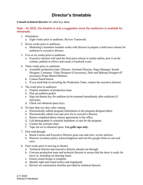## **Director's timetable**

<span id="page-18-0"></span>**Consult technical director** for other key dates.

Note – for 2022, this timeline is only a suggestion since the auditorium is available for rehearsals.

- 1. Orientation:
	- a. Eight weeks prior to auditions. Review Teamwork.
- 2. Seven weeks prior to auditions:
	- a. Marketing Committee member works with director to prepare a draft news release for auditions to executive director.
- 3. Five or six weeks prior to auditions:
	- a. Executive director will send the final press release to media outlets, post it on the website, publish in eNews and create a Facebook event.
- 4. Three weeks prior to auditions:
	- a. Assemble production team: Director, Assistant Director, Stage Manager, Sound Designer, Costumer, Video Designer (if necessary), Hair and Makeup Designer (ff necessary) Props Master/Mistress.
	- b. Contact board liaison.
	- c. If you need help in recruiting the Production Team, contact the executive director.
- 5. The week prior to auditions:
	- a. Finalize members of production team.
	- b. Pick up audition packet.
	- c. Sign out theater key for audition (to be returned immediately after auditions) if necessary.
	- d. Check out rehearsal space keys.
- 6. No later than two days after casting:
	- a. Electronically submit program information to the program designer/editor.
	- b. Electronically submit cast and crew list to executive director.
	- c. Return completed photo release agreements to the office.
	- d. Call photographer to schedule headshots of cast for the program.
	- e. Contact the costume chair.
	- f. Tape out set in rehearsal space. **Use gaffe tape only.**
- 7. First read through
	- a. Board Liaison and Executive Director greet cast and crew, review policies
	- b. Director circulates policy acknowledgment and cast bio google forms to cast and crew.
- 8. Four weeks prior to moving to theater:
	- a. Technical director and executive director attends run through.
	- b. Convene production team and technical director to ensure that the show is ready for move in, including set dressing items.
	- c. Ensure sound design is complete.
	- d. Identify light and sound tech(s) and stagehands
	- e. Review set construction timeline provided by technical director.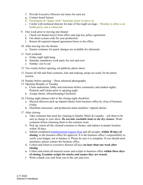- f. Provide Executive Director run times for each act.
- g. Contact board liaison.
- **h. Participate in "paper tech" Saturday prior to move in.**
- i. Confer with technical director for date of first night on stage **Monday is often a set build party, not a rehearsal.**
- 9. One week prior to moving into theater:
	- j. Check out theater key(s) from office and sign key policy agreement.
	- k. Get alarm system code for your production.
	- l. Return all required stipend agreement forms to the office.
- 10. After moving into the theater
	- a. Ensure costumes for quick changes are available for rehearsals.
- 11. Tech weekend
	- a. Friday night light hang
	- b. Saturday mandatory work party for cast and crew
	- c. Sunday: cue to cue
- 12. Two weeks before opening, set publicity photo shoot.
- 13. Ensure all full and final costumes, hair and makeup, props are ready for the photo session.
- 14. Sunday before opening Dress rehearsal photography
- 15. Opening Monday or Tuesday
	- a. Clean auditorium, lobby and restrooms before community and student nights; Pentacle staff cleans prior to opening night.
	- b. Assign chores. (Housekeeping Checklist)
- 16. Closing night (please refer to the closing night checklist):
	- a. Musical directors pick up stipend checks from business office by close of business Friday.
	- b. Distribute musicians' and production team members' stipend checks.
- 17. After closing:
	- a. Take costumes that need dry cleaning to Quality Shirts  $\&$  Laundry ask them to be sure to charge to your show. *Do not take washable items to the dry cleaner.* Wash costumes before returning them to the costume room.
	- b. Pick up, return all dry-cleaned costumes to theater, and replace in proper location within 30 days.
	- c. Submit completed [reimbursement request form](https://pentacletheatre.org/wp-content/uploads/2017/11/Reimbursement-request.xlsx) and all receipts, **within 30 days of closing**, to the business office for approval. It is the business office's responsibility to verify your budget, not to balance it. Please be sure it is complete. If you should need assistance, please contact the business office.
	- d. Collect and return to executive director all keys **no later than one week after closing**.
	- **e.** Collect and return all musical scores and scripts to business office **within three days of closing. Examine scripts for marks and ensure they are erased.**
	- f. Write a thank you card from you to the cast and crew.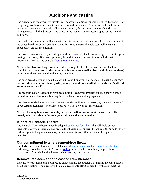## **Auditions and casting**

<span id="page-20-0"></span>The director and the executive director will schedule auditions generally eight to 12 weeks prior to opening. Auditions are open to anyone who wishes to attend. Auditions can be held at the theater or downtown rehearsal studios. As a courtesy, the incoming director should clear arrangements with the director in residence at the theater or the rehearsal space at the time of auditions.

The marketing committee will work with the director to develop a news release announcement, the executive director will post it on the website and the social media team will create a Facebook event for the auditions.

The board discourages the pre-casting of a show. However, the board may approve limited precasting if necessary. If a part is pre-cast, the audition announcement must include that information. Review the board's [Casting Best Practices.](https://pentacletheatre.org/wp-content/uploads/2022/01/CastingBestPractices2017-FINAL-1.pdf)

No later than **two working days after fully casting**, the director or designee must submit a complete **cast and crew list (including mailing address, email address and phone numbers)** to the executive director and to the program editor.

The executive director will post the cast in the audition event on Facebook. **Please discourage cast members and others from posting about the auditions until after the theater's official announcements on FB.**

The program editor's deadlines have been built in Teamwork Projects for each show. Submit these documents electronically using Word or Excel compatible programs.

The director or designee must notify everyone who auditions (in person, by phone or by email) about casting decisions. The business office will not deliver this information.

**No director may take a role in a play he or she is directing without the consent of the board, unless it is due to the emergency absence of a cast member.**

#### <span id="page-20-1"></span>**Minors at Pentacle Theatre**

The Pentacle Theatre board recently adopted [guidelines for minors](https://pentacletheatre.org/wp-content/uploads/2022/01/MinorsatPentaclefinal4.2.18.pdf) that will help prevent incidents, clarify expectations and protect the theater and children. Please take the time to review and incorporate the guidelines into your communications with minors and their parents or guardians.

#### <span id="page-20-2"></span>**Our commitment to a harassment-free theater**

Similarly, the theater has adopted a statement of [commitment to a harassment free theater,](https://pentacletheatre.org/wp-content/uploads/2022/01/Sexual-harassment-statement-final-3.5.18.pdf) addressing sexual harassment. A broader [policy](https://pentacletheatre.org/wp-content/uploads/2022/01/Anti-Harassment-Policy-links-correct-rev.-6.24.19.pdf) addresses the disciplinary approach to harassment of any kind at the theater such as teasing, bullying, etc.).

#### <span id="page-20-3"></span>**Removal/replacement of a cast or crew member**

If a cast or crew member is not meeting expectations, the director will inform the board liaison about the situation. The director will make a reasonable effort to help the volunteer meet the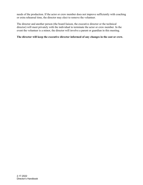needs of the production. If the actor or crew member does not improve sufficiently with coaching or extra rehearsal time, the director may elect to remove the volunteer.

The director and another person (the board liaison, the executive director or the technical director) will meet privately with the individual to terminate the actor or crew member. In the event the volunteer is a minor, the director will involve a parent or guardian in this meeting.

#### **The director will keep the executive director informed of any changes in the cast or crew.**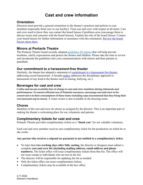## **Cast and crew information**

### <span id="page-22-1"></span><span id="page-22-0"></span>**Orientation**

Directors must provide a general orientation to the theater's practices and policies to cast members (especially those new to our facility). Treat cast and crew with respect at all times. Cast and crew need to know they can contact the board liaison if problems arise (encourage them to discuss issues and concerns with the board liaison). Explain the role of the board liaison. Contact your board liaison for further information or assistance with this orientation. [Review the board](https://pentacletheatre.org/wp-content/uploads/2022/01/BoardLiaison-CheatSheet-7.20.21.pdf)  [liaison cheat sheet.](https://pentacletheatre.org/wp-content/uploads/2022/01/BoardLiaison-CheatSheet-7.20.21.pdf)

### <span id="page-22-2"></span>**Minors at Pentacle Theatre**

The Pentacle Theatre board recently adopted [guidelines for minors](https://pentacletheatre.org/wp-content/uploads/2022/01/MinorsatPentaclefinal4.2.18.pdf) that will help prevent incidents, clarify expectations and protect the theater and children. Please take the time to review and incorporate the guidelines into your communications with minors and their parents or guardians.

#### <span id="page-22-3"></span>**Our commitment to a harassment-free theater**

Similarly, the theater has adopted a statement of [commitment to a harassment free theater,](https://pentacletheatre.org/wp-content/uploads/2022/01/Sexual-harassment-statement-final-3.5.18.pdf) addressing sexual harassment. A broader [policy](https://pentacletheatre.org/wp-content/uploads/2022/01/Anti-Harassment-Policy-links-correct-rev.-6.24.19.pdf) addresses the disciplinary approach to harassment of any kind at the theater such as teasing, bullying, etc.).

#### <span id="page-22-4"></span>**Beverages for cast and crew**

Coffee and tea are available free of charge to cast and crew members during rehearsals and performances. To ensure efficient use of Pentacle resources, encourage cast and crew to be conservative in their consumption of these items including cups (recommend that they bring their own personal cup to reuse). A water cooler is also available in the dressing room.

#### <span id="page-22-5"></span>**Chores**

Members of the cast and crew do chores as assigned by the director. This is an important part of making the theater a welcoming place for our volunteers and patrons.

#### <span id="page-22-6"></span>**Complimentary tickets for cast and crew**

Pentacle Theatre provides complimentary tickets as a "**thank you**" for our valuable volunteers.

Each cast and crew member receives one complimentary ticket for the production on which he or she works.

#### **Any person who receives a stipend (or payment) is not entitled to a complimentary ticket.**

- No later than **two working days after fully casting**, the director or designee must submit a complete **cast and crew list (including mailing address, email address and phone numbers)**. The ticket office will issue complimentary tickets from that list. The office will not issue comps to individuals who are not on the list.
- The director will be responsible for updating the list as needed.
- Only the ticket office can issue complimentary tickets.
- Complimentary tickets may be available at the box office.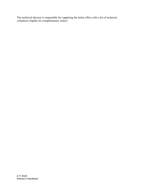The technical director is responsible for supplying the ticket office with a list of technical volunteers eligible for complimentary tickets.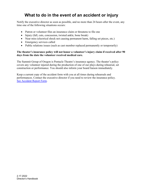## **What to do in the event of an accident or injury**

<span id="page-24-0"></span>Notify the executive director as soon as possible, and no more than 24 hours after the event, any time one of the following situations occurs:

- Patron or volunteer files an insurance claim or threatens to file one
- Injury (fall, cuts, concussion, twisted ankle, bone break)
- Near miss (electrical shock not causing permanent harm, falling set pieces, etc.)
- Emergency services called
- Public relations issues (such as cast member replaced permanently or temporarily)

#### **The theater's insurance policy will not honor a volunteer's injury claim if received after 90 days from the date the volunteer received medical care.**

The Summit Group of Oregon is Pentacle Theatre's insurance agency. The theater's policy covers any volunteer injured during the production of one of our plays during rehearsal, set construction or performance. You should also inform your board liaison immediately.

Keep a current copy of the accident form with you at all times during rehearsals and performances. Contact the executive director if you need to review the insurance policy. [See Accident Report Form.](https://pentacletheatre.org/wp-content/uploads/2022/02/Accident-incident-Report-Form-2.20.19.pdf)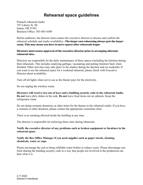## **Rehearsal space guidelines**

<span id="page-25-0"></span>Pentacle rehearsal studio 197 Liberty St. SE Salem, OR 97301 Business Office: 503-485-4300

Before auditions, the director must contact the executive director to discuss and confirm the rehearsal schedule and studio availability.. **The larger cast rehearsing always gets the larger room. This may mean you have to move spaces after rehearsals begin.** 

#### **Directors must secure approval of the executive director prior to arranging alternate rehearsal sites.**

Directors are responsible for the daily maintenance of these spaces (including the kitchen) during their rehearsals. This includes emptying garbage, vacuuming and putting furniture back when finished. Other activities may take place in the studios during the daytime and on weekends. If you want to use the rehearsal space for a weekend rehearsal, please check with Executive Director about availability.

Turn off all lights when not in use as the theater pays for the electricity.

Do not unplug the wireless router.

**Directors will receive two sets of keys and a building security code to the rehearsal studio. Do not** leave dirty dishes in the sink. **Do not** leave food items out on cabinets. Keep the refrigerator clean.

Do not dump costume donations or other items for the theater in the rehearsal studio. If you have a costume or other donation, please contact the appropriate committee chair.

There is no smoking allowed inside the building at any time.

The director is responsible for enforcing these rules during rehearsals.

**Notify the executive director of any problems such as broken equipment or furniture in the rehearsal space.** 

#### **Notify the Box Office Manager if you need supplies such as paper towels, cleaning chemicals, water or cups.**

Please encourage the cast to bring refillable water bottles to reduce waste. Please discourage cast from sharing the building security code in a way that people not involved in the production can hear what it is.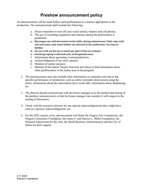## **Preshow announcement policy**

<span id="page-26-0"></span>An announcement will be made before each performance in a manner appropriate to the production. The announcement shall include the following:

- a. Please remember to turn off your watch alarms, beepers and cell phones.
- b. The use of recording equipment and cameras during the performance is prohibited.
- c. Beverages are sold downstairs in the lobby during intermission. Only cups with lids and straws and water bottles are allowed in the auditorium. No cans or bottles.
- d. Do not walk on the set or touch any part of the set or props.
- e. Smoking/vaping is allowed only in designated areas.
- f. Information about upcoming events/productions.
- g. Acknowledgment of our show sponsor
- h. Mention of season sponsors
- i. Mention of the Salem Theatre Network and where to find information about other performances in the Salem area in the program.
- 2. The announcement may also include other information or reminders relevant to the specific performance or production, such as safety reminders about actors using the aisles; information about the subscription drive (each fall); information about fundraising, etc.
- 3. The director should communicate with the house manager as to the method and timing of the preshow announcement so that the house manager can consider it with respect to the seating of latecomers.
- 4. Check with the executive director for any special acknowledgements they might have such as a sponsor acknowledgement, etc.
- 5. For the 2022 season, every announcement will thank the Oregon Arts Commission, the Oregon Community Foundation, the James F. and Marion L. Miller Foundation, the National Endowment for the Arts, the Small Business Administration and the City of Salem for their support.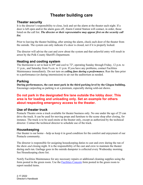## **Theater building care**

#### <span id="page-27-1"></span><span id="page-27-0"></span>**Theater security**

It is the director's responsibility to close, lock and set the alarm at the theater each night. If a door is left open and/or the alarm goes off, Alarm Central Station will contact, in order, those listed on the call list. *The director or their representative may appear first on the security call list.*

Prior to leaving the theater building, after arming the alarm, check each door of the theater from the outside. The system can only indicate if a door is closed, not if it is properly locked.

The director will advise the cast and crew about the system and that unlawful entry will result in arrest by the Polk County Sheriff's Department.

#### <span id="page-27-2"></span>**Heating and cooling system**

The thermostat is set to heat to 69º and cool to 72º, operating Sunday through Friday, 12 p.m. to 11 p.m., and Saturday from 9 a.m. to 11 p.m. If you have any problems, contact Facilities Maintenance immediately. Do not turn on *ceiling fans during a performance.* Run the fans prior to a performance (or during intermission) to air out the auditorium as needed.

#### <span id="page-27-3"></span>**Parking**

**During performances, the cast must park in the third parking level by the Glogau building.**  Encourage carpooling as parking is at a premium, especially during sold-out shows.

#### **Do not park in the designated fire lane outside the lobby door. This area is for loading and unloading only. Set an example for others about respecting emergency access to the theater.**

#### <span id="page-27-4"></span>**Use of theater truck**

Pentacle Theatre owns a truck available for theater business only. No one under the age of 25 can drive the truck. It can be used for moving props and furniture to the scene shop after closing, for instance. The truck is to be used onsite at the theater only, except as authorized by the technical director. Contact the technical director to schedule use of the truck.

### <span id="page-27-5"></span>**Housekeeping**

Our theater is our home—help us keep it in good condition for the comfort and enjoyment of our Pentacle community.

The director is responsible for assigning housekeeping duties to cast and crew during the run of the show *and* closing night. It is the responsibility of the cast and crew to maintain the theater during each run. Garbage goes in the outside dumpster is collected every Wednesday morning. See Housekeeping chore list.

Notify Facilities Maintenance for any necessary repairs or additional cleaning supplies using the form posted in the green room. Use the [Facilities Concern](https://pentacletheatre.org/wp-content/uploads/2022/02/Facilities-concerns-reporting-form-1.pdf) form posted in the green room to report needed items.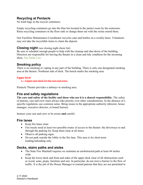## <span id="page-28-0"></span>**Recycling at Pentacle**

No trash bags in the recycle containers.

Empty recycling containers go into the blue bin located in the janitor room by the restrooms. Rinse recycling containers in the floor sink or change them out with the extras stored there.

Our Facilities Maintenance Coordinator recycles cans and bottles on a weekly basis. Volunteers may not take the recyclable items to claim the deposit.

#### <span id="page-28-1"></span>**Closing night** (see closing night chore list)

Be sure to schedule enough people to help with the cleanup and shut down of the building. Directors are responsible for leaving the theater in a clean and tidy condition for the incoming show. See Strike List.

### <span id="page-28-2"></span>**Smoking policy**

There is no smoking or vaping in any part of the building. There is only one designated smoking area at the theater: Northeast side of deck. The bench marks the smoking area.

#### **Upper level**

1. Upper rear deck for the cast and crew.

Pentacle Theatre provides a ashtrays in smoking area.

### <span id="page-28-3"></span>**Fire and safety regulations**

**The care and safety of the facility and those who use it is a shared responsibility.** The safety of patrons, cast and crew must always take priority over other considerations. In the absence of a specific regulation, use common sense. Bring issues to the appropriate authority (director, house manager, executive director, or board liaison).

Instruct your cast and crew to be aware **and** careful.

#### <span id="page-28-4"></span>**Fire lanes**

- Keep fire lanes clear.
- Fire trucks need at least two possible routes of access to the theater: the driveways to and through the parking lot. Keep them clear at all times.
- Observe all parking signs.
- Do not park outside the lobby in the fire lane. This area is for short-term loading/unloading only.

### <span id="page-28-5"></span>**Decks, stairs paths and aisles**

- The State Fire Marshall requires we maintain an unobstructed path at least 44 inches wide.
- Keep the lower deck and front and sides of the upper deck clear of all obstructions such as wood, seats, props, furniture and sets. In particular, do not erect a barrier to the flow of traffic. It is the job of the House Manager to remind patrons that they are not permitted to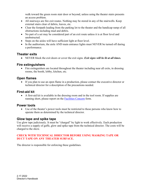walk toward the green room stair door or beyond, unless using the theater stairs presents an access problem.

- All stairways are fire exit routes. Nothing may be stored in any of the stairwells. Keep external stairs clear of debris, leaves, etc.
- Clear the footpath leading from the parking lot to the theater and the handicap ramp of all obstructions including mud and debris.
- No part of a set may be considered part of an exit route unless it is at floor level and unobstructed.
- Steps on the aisles will have sufficient light at floor level.
- In the auditorium, the aisle AND main entrance lights must NEVER be turned off during a performance.

#### <span id="page-29-0"></span>**Theater exits**

• NEVER block the exit doors or cover the exit signs. *Exit signs will be lit at all times.*

### <span id="page-29-1"></span>**Fire extinguishers**

• Fire extinguishers are located throughout the theater including near all exits, in dressing rooms, the booth, lobby, kitchen, etc.

## <span id="page-29-2"></span>**Open flames**

• If you plan to use an open flame in a production, please contact the executive director or technical director for a description of the precautions needed.

## <span id="page-29-3"></span>**First-aid kit**

• A first-aid kit is available in the dressing room and in the tool room. If supplies are running short, please report on the [Facilities Concern](https://pentacletheatre.org/wp-content/uploads/2022/02/Facilities-concerns-reporting-form-1.pdf) form.

### <span id="page-29-4"></span>**Power tools**

• Use of the theater's power tools must be restricted to those persons who know how to operate them as determined by the technical director.

### <span id="page-29-5"></span>**Glow tape and spike tape**

Use glow tape judiciously. It must be "charged" by light to work effectively. Each production will receive a supply of gaffe, glow and spike tape from the technical director. The costs will be charged to the show.

#### **CHECK WITH TECHNICAL DIRECTOR BEFORE USING MASKING TAPE OR DUCT TAPE ON ANY THEATER SURFACE.**

The director is responsible for enforcing these guidelines.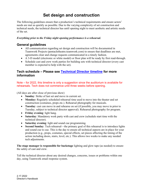## **Set design and construction**

<span id="page-30-0"></span>The following guidelines ensure that a production's technical requirements and ensure actors' needs are met as quickly as possible. Due to the varying complexity of set construction and technical needs, the technical director has until opening night to meet aesthetic and artistic needs of the set.

#### *Everything prior to the Friday night opening performance is a rehearsal.*

#### <span id="page-30-1"></span>**General guidelines**

- All communication regarding set design and construction will be documented in Teamwork Projects (pentacletheatre.teamwork.com) to ensure that deadlines are met, agreements clear and change requests communicated in a timely fashion.
- A 3-D model (electronic or white model) or floor plan will be ready by first read-through.
- Schedule cast and crew work parties for building sets with technical director (every cast member is expected to help with the set).

#### <span id="page-30-2"></span>**Tech schedule – Please see [Technical Director timeline](https://pentacletheatre.org/wp-content/uploads/2018/10/Draft-Technical-Director-timeline) for more information**

Note – for 2022, this timeline is only a suggestion since the auditorium is available for rehearsals. Tech does not commence until three weeks before opening.

(All days are after close of previous show)

- **Sunday**: Strike of last set and move in current set.
- **Monday:** Regularly scheduled rehearsal time used to move into the theater and set construction (costumes, props etc.). Rehearsal photography for musicals.
- **Tuesday**: cast can move in and rehearse on set (if possible, you may move in prior to Tuesday, subject to technical director approval). Rehearsal photography for program.
- **Friday evening**: light hang.
- **Saturday**: Mandatory work party with cast and crew (schedule start time with the technical director).
- **Saturday evening**: light and sound cue programming.
- **Second Sunday**: Tech rehearsal—the primary goal of this rehearsal is to introduce lights and sound cue to cue. This is the day to ensure all technical aspects are in place for your production (e.g., props, costumes, special effects, set pieces affecting the timing of the action including doors, stairs, level, etc.). This allows two weeks to make any needed tech adjustments.

**The stage manager is responsible for backstage** lighting and glow tape (as needed) to ensure the safety of cast and crew.

Tell the technical director about any desired changes, concerns, issues or problems within one day, using Teamwork email response system.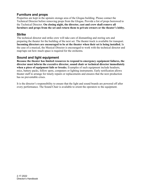## <span id="page-31-0"></span>**Furniture and props**

Properties are kept in the upstairs storage area of the Glogau building. Please contact the Technical Director before removing props from the Glogau. Provide a list of props borrowed to the Technical Director. **On closing night, the director, cast and crew shall remove all furniture and props from the set and return them to private owners or the theater's lobby.**

#### <span id="page-31-1"></span>**Strike**

The technical director and strike crew will take care of dismantling and storing sets and preparing the theater for the building of the next set. The theater truck is available for transport. **Incoming directors are encouraged to be at the theater when their set is being installed.** In the case of a musical, the Musical Director is encouraged to work with the technical director and map/tape out how much space is required for the orchestra.

### <span id="page-31-2"></span>**Sound and light equipment**

**Because the theater has limited resources to respond to emergency equipment failures, the director must inform the executive director, sound chair or technical director immediately when a piece of equipment fails or breaks.** Examples of such equipment include headsets, mics, battery packs, follow spots, computers or lighting instruments. Early notification allows theater staff to arrange for timely repairs or replacements and ensures that the next production has no preventable crises.

It is the director's responsibility to ensure that the light and sound boards are powered off after every performance. The Sound Chair is available to orient the operators to the equipment.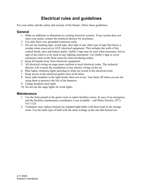## **Electrical rules and guidelines**

<span id="page-32-0"></span>For your safety and the safety and security of the theater, follow these guidelines.

#### <span id="page-32-1"></span>**General**

- 1. Make no additions or alterations to existing electrical systems. If any system does not meet your needs, contact the technical director for assistance.
- 2. Use only three wire grounded extension cords.
- 3. Do not use masking tape, scotch tape, duct tape or any other type of tape that leaves a residue when removed on ANY electrical equipment. This includes the walls of the control booth, mics and battery packs. Gaffer's tape may be used when necessary, but no tape of any kind is to be used on any lighting instrument. Use Gaffer's tape to cover extension cords on the floor (must be removed during strike).
- 4. Keep all liquids away from electronic equipment.
- 5. All electrical wiring on stage must conform to local electrical codes. The technical director will oversee the installation of any electric wiring on the set.
- 6. Blue lights, orchestra lights and plug-in strips are stored in the electrical room.
- 7. Keep access to the electrical panels clear at all times.
- 8. Store radio headsets in the light booth when not in use. Turn them off when you are not using them to preserve the life of the batteries.
- 9. Charge headsets each night.
- 10. Do not use the stage lights for work lights.

#### <span id="page-32-2"></span>**Maintenance**

- 1. Use the form posted in the green room to report facilities issues. In case of an emergency and the facilities maintenance coordinator is not available – call Photo Electric, [\(971\)](javascript:void(0))  [915-1124.](javascript:void(0))
- 2. Volunteers may replace burned out standard light bulbs with those kept in the storage room. Use the same type of bulb with the same wattage as the one that burned out.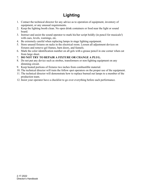## **Lighting**

- <span id="page-33-0"></span>1. Contact the technical director for any advice as to operation of equipment, inventory of equipment, or any unusual requirements.
- 2. Keep the lighting booth clean. No open drink containers or food near the light or sound board.
- 3. Instruct and assist the sound operator to mark his/her script boldly (in pencil for musicals!) with cues, levels, warnings, etc.
- 4. Be extremely careful when replacing lamps in stage lighting equipment.
- 5. Store unused fixtures on racks in the electrical room. Loosen all adjustment devices on fixtures and remove gel frames, barn doors, and funnels.
- 6. Mark the color identification number on all gels with a grease pencil in one corner when cut from large sheet.
- 7. **DO NOT TRY TO REPAIR A FIXTURE OR CHANGE A PLUG.**
- 8. Do not put any device such as strobes, transformers or non-lighting equipment on any dimming circuit.
- 9. Keep heated portions of fixtures two inches from combustible material.
- 10. The technical director will train the follow spot operators on the proper use of the equipment.
- 11. The technical director will demonstrate how to replace burned out lamps to a member of the production team.
- 12. Insist your operator have a checklist to go over everything before each performance.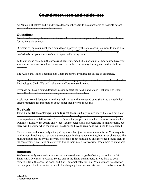## **Sound resources and guidelines**

<span id="page-34-0"></span>At Pentacle Theatre's audio and video department, we try to be as prepared as possible before your production moves into the theater.

#### <span id="page-34-1"></span>**Guidelines**

For all productions; please contact the sound chair as soon as your production has been chosen for the Pentacle calendar.

Directors of musicals must use a sound tech approved by the audio chair. We want to make sure your sound tech understands how our system works. We are also available for any training needed to bring your sound tech up to speed with our system.

With our sound system in the process of being upgraded, it is particularly important to have your sound effects and/or sound tech meet with the audio team so any training can be done before move in.

The Audio and Video Technologies Chair are always available for advice or assistance.

If you wish to use your own (or borrowed) audio equipment, please contact the Audio and Video Technologies Chair. We will make every effort to make it work.

If you do not have a sound designer, please contact the Audio and Video Technologies Chair. We will either find you a sound designer or do the job ourselves.

Assist your sound designer in marking their script with the needed cues. (Refer to the technical director timeline for information about paper tech prior to move in.)

#### <span id="page-34-2"></span>**Musicals**

**First, do not let the actors put on or take off the mics**. Only trained individuals can put on or take off mics. Work with the Audio and Video Technologies Chair to arrange for training. We have experienced a failure rate of two to three mics per production when the actors remove theirown mics. Luckily, the Audio and Video Technologies Chair has been able to make repairs, but there will be a time when the mic will be damaged beyond repair and will need to be replaced.

Please be aware that our body mics pick up more than just the actor the mic is on. You may wish to alter your blocking so that actors are not actually singing face to face, but rather cheat out. The phasing issues caused by this are very noticeable if not handled by an experienced sound tech. In the same vein, if you have an actor who thinks their mic is not working, teach them to stand next to another performer with a mic on.

#### <span id="page-34-3"></span>**Batteries**

We have recently received a donation to purchase the rechargeable battery packs for the 10-Shure OLX-D wireless systems. To use one of the Shure transmitters, all you have to do is remove it from the charging dock, and it will automatically turn on. When you are finished for the day, place the transmitter back into the charging dock. We will still need to use batters for the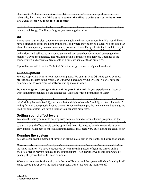older Audio Technica transmitters. Calculate the number of actors times performances and rehearsals, then times two. **Make sure to contact the office to order your batteries at least two weeks before you move into the theater.**

Pentacle Theatre recycles the batteries. Please collect the used ones after each use and put them in a zip lock baggy (I will usually give you several gallon-size).

#### <span id="page-35-0"></span>**Pit**

Please have your musical director contact the audio chair as soon as possible. We would like to have a discussion about the number in the pit, and where they might be placed. We can also planahead for any specialty mics or mic stands, drum shield, etc. Our goal is to try to isolate the pit from the room as much as possible. Our backstage area is nothing but parallel hard surfaced walls, floor, and ceiling, so any sound generated backstage bounces around backstage, then makes it way to the audience. The resulting sound is muddled and delayed. Upgrades to the sound system and acoustical treatments will mitigate some of these problems.

If possible, we will have the Technical Director design the set to help enclose the pit.

#### <span id="page-35-1"></span>**Our equipment**

We use Apple Mac Minis as our media computers. We can run Mac OS QLab (used by most professional theaters in the world), or Windows-based Show Cue System. We will have the computers set to your required software during move in week.

**Do not change any settings with any of the gear in the rack.** If you experience an issue, or want something changed, please contact the Audio and Video Technologies Chair.

Currently, we have eight channels for Sound effects. Center channel (channels 1 and 2), Mains left & right (channels 3and 4), surrounds left and right (channels 5 and 6), and two channels (7 and 8) for backstage practical sound effects. When we have a pit, the two channels backstage are used for pit monitors (we have a total of four separate pit mixes).

#### <span id="page-35-2"></span>**Setting sound effect levels**

We have the ability to remote desktop with both our sound effects software programs, so that levels can be set from the auditorium. We highly recommend using this method for the rehearsals so that the sound effects levels can be optimized. You also need to take into consideration for crowd noise. What may seem loud during rehearsals may seem very quiet during an actual show.

#### <span id="page-35-3"></span>**Running the system**

We have changed the method of turning on all the audio gear in the booth, and at front of house.

**Non-musicals:** turn the rack on by pushing the on/off button that is attached to the rack below the video monitor. We have a sequenced system, meaning pieces of gear are turned on in a specific order to prevent damage to the loudspeakers. Then start the two media computers by pushing the power button for each computer.

When you are done for the night, push the on/off button, and the system will shut down by itself. Make sure to power down the media computers. Don't just turn the monitors off!